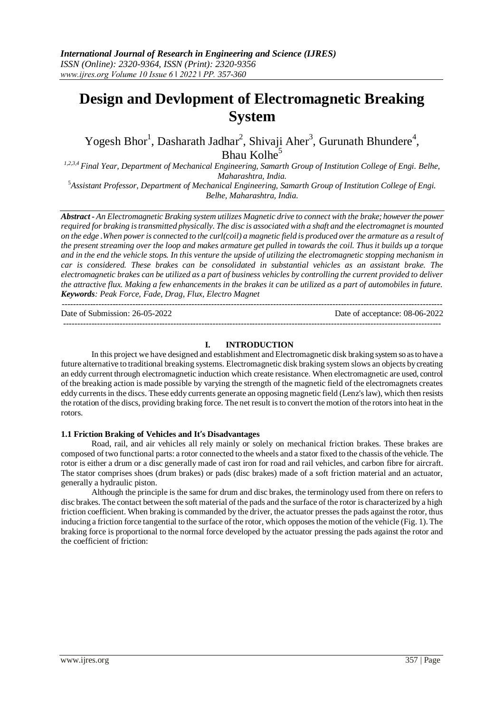# **Design and Devlopment of Electromagnetic Breaking System**

Yogesh Bhor<sup>1</sup>, Dasharath Jadhar<sup>2</sup>, Shivaji Aher<sup>3</sup>, Gurunath Bhundere<sup>4</sup>, Bhau Kolhe<sup>5</sup>

*1,2,3,4 Final Year, Department of Mechanical Engineering, Samarth Group of Institution College of Engi. Belhe, Maharashtra, India.*

<sup>5</sup>*Assistant Professor, Department of Mechanical Engineering, Samarth Group of Institution College of Engi. Belhe, Maharashtra, India.*

*Abstract - An Electromagnetic Braking system utilizes Magnetic drive to connect with the brake; however the power required for braking is transmitted physically. The disc is associated with a shaft and the electromagnet is mounted on the edge .When power is connected to the curl(coil) a magnetic field is produced over the armature as a result of the present streaming over the loop and makes armature get pulled in towards the coil. Thus it builds up a torque and in the end the vehicle stops. In this venture the upside of utilizing the electromagnetic stopping mechanism in car is considered. These brakes can be consolidated in substantial vehicles as an assistant brake. The electromagnetic brakes can be utilized as a part of business vehicles by controlling the current provided to deliver the attractive flux. Making a few enhancements in the brakes it can be utilized as a part of automobiles in future. Keywords: Peak Force, Fade, Drag, Flux, Electro Magnet*

--------------------------------------------------------------------------------------------------------------------------------------- Date of Submission: 26-05-2022 Date of acceptance: 08-06-2022 --------------------------------------------------------------------------------------------------------------------------------------

### **I. INTRODUCTION**

In this project we have designed and establishment and Electromagnetic disk braking system so as to have a future alternative to traditional breaking systems. Electromagnetic disk braking system slows an objects by creating an eddy current through electromagnetic induction which create resistance. When electromagnetic are used, control of the breaking action is made possible by varying the strength of the magnetic field of the electromagnets creates eddy currents in the discs. These eddy currents generate an opposing magnetic field (Lenz's law), which then resists the rotation of the discs, providing braking force. The net result is to convert the motion of the rotors into heat in the rotors.

### **1.1 Friction Braking of Vehicles and It's Disadvantages**

Road, rail, and air vehicles all rely mainly or solely on mechanical friction brakes. These brakes are composed of two functional parts: a rotor connected to the wheels and a stator fixed to the chassis of the vehicle. The rotor is either a drum or a disc generally made of cast iron for road and rail vehicles, and carbon fibre for aircraft. The stator comprises shoes (drum brakes) or pads (disc brakes) made of a soft friction material and an actuator, generally a hydraulic piston.

Although the principle is the same for drum and disc brakes, the terminology used from there on refers to disc brakes. The contact between the soft material of the pads and the surface of the rotor is characterized by a high friction coefficient. When braking is commanded by the driver, the actuator presses the pads against the rotor, thus inducing a friction force tangential to the surface of the rotor, which opposes the motion of the vehicle (Fig. 1). The braking force is proportional to the normal force developed by the actuator pressing the pads against the rotor and the coefficient of friction: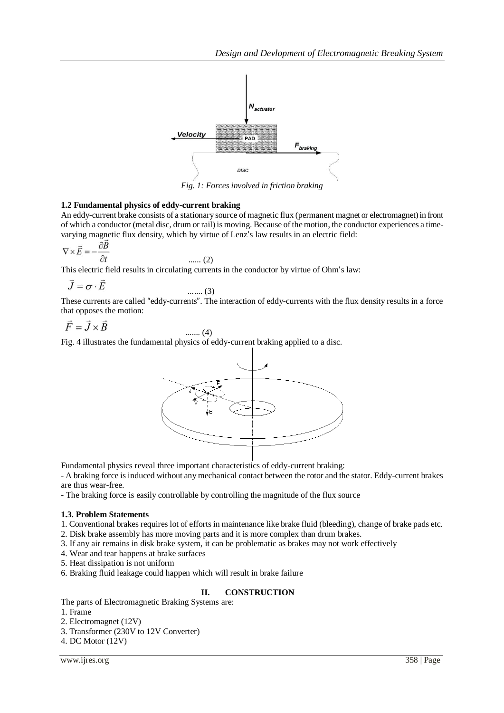

*Fig. 1: Forces involved in friction braking*

## **1.2 Fundamental physics of eddy-current braking**

An eddy-current brake consists of a stationary source of magnetic flux (permanent magnet or electromagnet) in front of which a conductor (metal disc, drum or rail) is moving. Because of the motion, the conductor experiences a timevarying magnetic flux density, which by virtue of Lenz's law results in an electric field:

$$
\nabla \times \vec{E} = -\frac{\partial B}{\partial t}
$$
 ...... (2)

This electric field results in circulating currents in the conductor by virtue of Ohm's law:

$$
\vec{J} = \sigma \cdot \vec{E}
$$
 ...... (3)

These currents are called "eddy-currents". The interaction of eddy-currents with the flux density results in a force that opposes the motion:

$$
\vec{F} = \vec{J} \times \vec{B}
$$
 ...... (4)

Fig. 4 illustrates the fundamental physics of eddy-current braking applied to a disc.



Fundamental physics reveal three important characteristics of eddy-current braking:

- A braking force is induced without any mechanical contact between the rotor and the stator. Eddy-current brakes are thus wear-free.

- The braking force is easily controllable by controlling the magnitude of the flux source

## **1.3. Problem Statements**

1. Conventional brakes requires lot of efforts in maintenance like brake fluid (bleeding), change of brake pads etc.

- 2. Disk brake assembly has more moving parts and it is more complex than drum brakes.
- 3. If any air remains in disk brake system, it can be problematic as brakes may not work effectively
- 4. Wear and tear happens at brake surfaces
- 5. Heat dissipation is not uniform
- 6. Braking fluid leakage could happen which will result in brake failure

## **II. CONSTRUCTION**

The parts of Electromagnetic Braking Systems are:

- 1. Frame
- 2. Electromagnet (12V)
- 3. Transformer (230V to 12V Converter)
- 4. DC Motor (12V)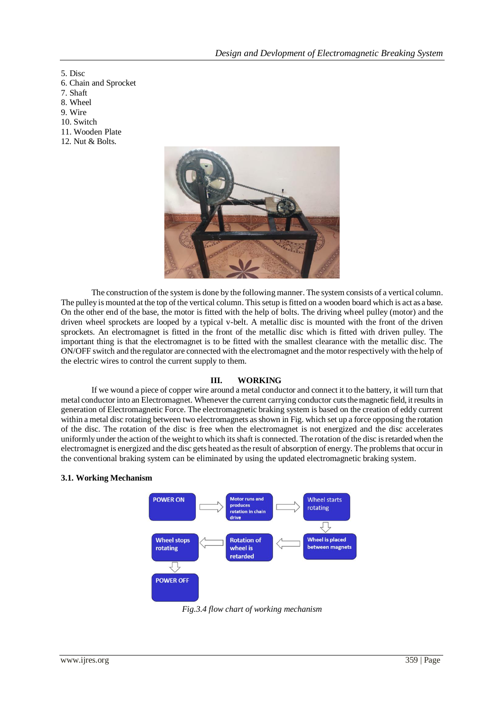5. Disc

- 6. Chain and Sprocket
- 7. Shaft
- 8. Wheel
- 9. Wire
- 10. Switch
- 11. Wooden Plate
- 12. Nut & Bolts.



The construction of the system is done by the following manner. The system consists of a vertical column. The pulley is mounted at the top of the vertical column. This setup is fitted on a wooden board which is act as a base. On the other end of the base, the motor is fitted with the help of bolts. The driving wheel pulley (motor) and the driven wheel sprockets are looped by a typical v-belt. A metallic disc is mounted with the front of the driven sprockets. An electromagnet is fitted in the front of the metallic disc which is fitted with driven pulley. The important thing is that the electromagnet is to be fitted with the smallest clearance with the metallic disc. The ON/OFF switch and the regulator are connected with the electromagnet and the motor respectively with the help of the electric wires to control the current supply to them.

### **III. WORKING**

If we wound a piece of copper wire around a metal conductor and connect it to the battery, it will turn that metal conductor into an Electromagnet. Whenever the current carrying conductor cuts the magnetic field, it results in generation of Electromagnetic Force. The electromagnetic braking system is based on the creation of eddy current within a metal disc rotating between two electromagnets as shown in Fig. which set up a force opposing the rotation of the disc. The rotation of the disc is free when the electromagnet is not energized and the disc accelerates uniformly under the action of the weight to which its shaft is connected. The rotation of the disc is retarded when the electromagnet is energized and the disc gets heated as the result of absorption of energy. The problems that occur in the conventional braking system can be eliminated by using the updated electromagnetic braking system.

### **3.1. Working Mechanism**



*Fig.3.4 flow chart of working mechanism*